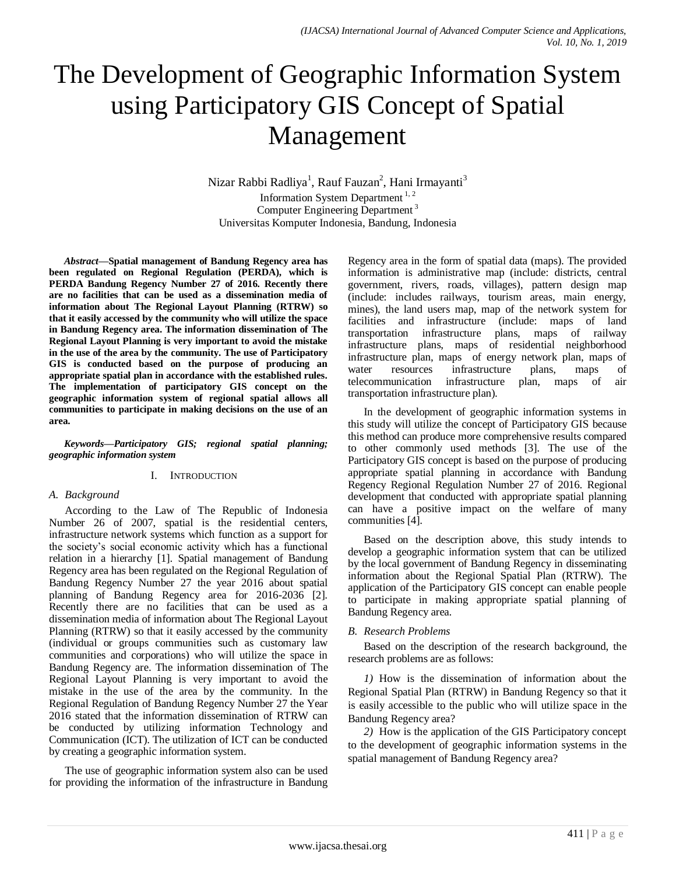# The Development of Geographic Information System using Participatory GIS Concept of Spatial Management

Nizar Rabbi Radliya<sup>1</sup>, Rauf Fauzan<sup>2</sup>, Hani Irmayanti<sup>3</sup> Information System Department  $1, 2$ Computer Engineering Department<sup>3</sup> Universitas Komputer Indonesia, Bandung, Indonesia

*Abstract***—Spatial management of Bandung Regency area has been regulated on Regional Regulation (PERDA), which is PERDA Bandung Regency Number 27 of 2016. Recently there are no facilities that can be used as a dissemination media of information about The Regional Layout Planning (RTRW) so that it easily accessed by the community who will utilize the space in Bandung Regency area. The information dissemination of The Regional Layout Planning is very important to avoid the mistake in the use of the area by the community. The use of Participatory GIS is conducted based on the purpose of producing an appropriate spatial plan in accordance with the established rules. The implementation of participatory GIS concept on the geographic information system of regional spatial allows all communities to participate in making decisions on the use of an area.**

*Keywords—Participatory GIS; regional spatial planning; geographic information system*

#### I. INTRODUCTION

#### *A. Background*

According to the Law of The Republic of Indonesia Number 26 of 2007, spatial is the residential centers, infrastructure network systems which function as a support for the society's social economic activity which has a functional relation in a hierarchy [1]. Spatial management of Bandung Regency area has been regulated on the Regional Regulation of Bandung Regency Number 27 the year 2016 about spatial planning of Bandung Regency area for 2016-2036 [2]. Recently there are no facilities that can be used as a dissemination media of information about The Regional Layout Planning (RTRW) so that it easily accessed by the community (individual or groups communities such as customary law communities and corporations) who will utilize the space in Bandung Regency are. The information dissemination of The Regional Layout Planning is very important to avoid the mistake in the use of the area by the community. In the Regional Regulation of Bandung Regency Number 27 the Year 2016 stated that the information dissemination of RTRW can be conducted by utilizing information Technology and Communication (ICT). The utilization of ICT can be conducted by creating a geographic information system.

The use of geographic information system also can be used for providing the information of the infrastructure in Bandung

Regency area in the form of spatial data (maps). The provided information is administrative map (include: districts, central government, rivers, roads, villages), pattern design map (include: includes railways, tourism areas, main energy, mines), the land users map, map of the network system for facilities and infrastructure (include: maps of land transportation infrastructure plans, maps of railway infrastructure plans, maps of residential neighborhood infrastructure plan, maps of energy network plan, maps of water resources infrastructure plans, maps of telecommunication infrastructure plan, maps of air transportation infrastructure plan).

In the development of geographic information systems in this study will utilize the concept of Participatory GIS because this method can produce more comprehensive results compared to other commonly used methods [3]. The use of the Participatory GIS concept is based on the purpose of producing appropriate spatial planning in accordance with Bandung Regency Regional Regulation Number 27 of 2016. Regional development that conducted with appropriate spatial planning can have a positive impact on the welfare of many communities [4].

Based on the description above, this study intends to develop a geographic information system that can be utilized by the local government of Bandung Regency in disseminating information about the Regional Spatial Plan (RTRW). The application of the Participatory GIS concept can enable people to participate in making appropriate spatial planning of Bandung Regency area.

### *B. Research Problems*

Based on the description of the research background, the research problems are as follows:

*1)* How is the dissemination of information about the Regional Spatial Plan (RTRW) in Bandung Regency so that it is easily accessible to the public who will utilize space in the Bandung Regency area?

*2)* How is the application of the GIS Participatory concept to the development of geographic information systems in the spatial management of Bandung Regency area?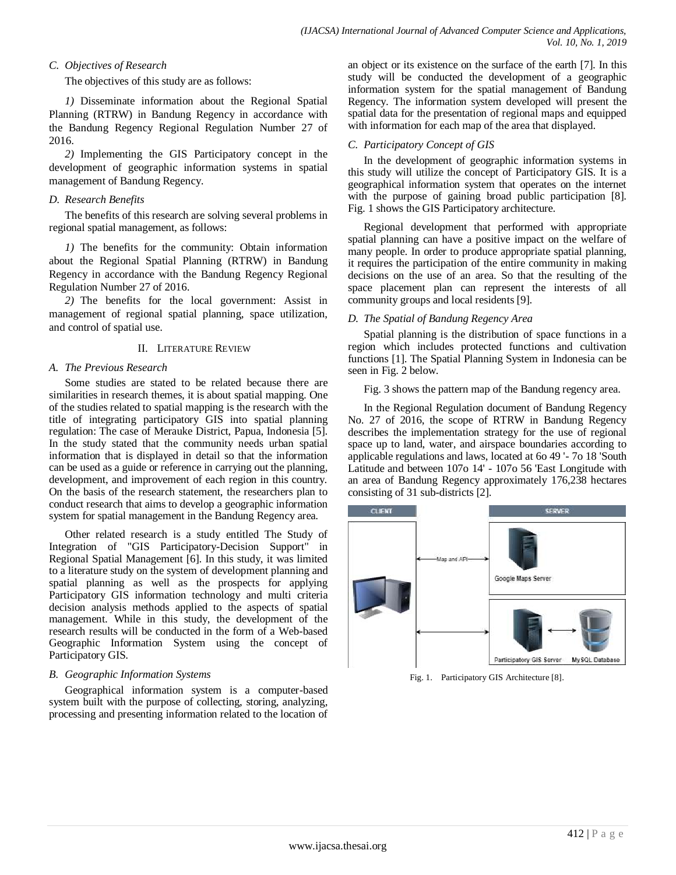## *C. Objectives of Research*

The objectives of this study are as follows:

*1)* Disseminate information about the Regional Spatial Planning (RTRW) in Bandung Regency in accordance with the Bandung Regency Regional Regulation Number 27 of 2016.

*2)* Implementing the GIS Participatory concept in the development of geographic information systems in spatial management of Bandung Regency.

## *D. Research Benefits*

The benefits of this research are solving several problems in regional spatial management, as follows:

*1)* The benefits for the community: Obtain information about the Regional Spatial Planning (RTRW) in Bandung Regency in accordance with the Bandung Regency Regional Regulation Number 27 of 2016.

*2)* The benefits for the local government: Assist in management of regional spatial planning, space utilization, and control of spatial use.

## II. LITERATURE REVIEW

## *A. The Previous Research*

Some studies are stated to be related because there are similarities in research themes, it is about spatial mapping. One of the studies related to spatial mapping is the research with the title of integrating participatory GIS into spatial planning regulation: The case of Merauke District, Papua, Indonesia [5]. In the study stated that the community needs urban spatial information that is displayed in detail so that the information can be used as a guide or reference in carrying out the planning, development, and improvement of each region in this country. On the basis of the research statement, the researchers plan to conduct research that aims to develop a geographic information system for spatial management in the Bandung Regency area.

Other related research is a study entitled The Study of Integration of "GIS Participatory-Decision Support" in Regional Spatial Management [6]. In this study, it was limited to a literature study on the system of development planning and spatial planning as well as the prospects for applying Participatory GIS information technology and multi criteria decision analysis methods applied to the aspects of spatial management. While in this study, the development of the research results will be conducted in the form of a Web-based Geographic Information System using the concept of Participatory GIS.

## *B. Geographic Information Systems*

Geographical information system is a computer-based system built with the purpose of collecting, storing, analyzing, processing and presenting information related to the location of

an object or its existence on the surface of the earth [7]. In this study will be conducted the development of a geographic information system for the spatial management of Bandung Regency. The information system developed will present the spatial data for the presentation of regional maps and equipped with information for each map of the area that displayed.

## *C. Participatory Concept of GIS*

In the development of geographic information systems in this study will utilize the concept of Participatory GIS. It is a geographical information system that operates on the internet with the purpose of gaining broad public participation [8]. Fig. 1 shows the GIS Participatory architecture.

Regional development that performed with appropriate spatial planning can have a positive impact on the welfare of many people. In order to produce appropriate spatial planning, it requires the participation of the entire community in making decisions on the use of an area. So that the resulting of the space placement plan can represent the interests of all community groups and local residents [9].

## *D. The Spatial of Bandung Regency Area*

Spatial planning is the distribution of space functions in a region which includes protected functions and cultivation functions [1]. The Spatial Planning System in Indonesia can be seen in Fig. 2 below.

Fig. 3 shows the pattern map of the Bandung regency area.

In the Regional Regulation document of Bandung Regency No. 27 of 2016, the scope of RTRW in Bandung Regency describes the implementation strategy for the use of regional space up to land, water, and airspace boundaries according to applicable regulations and laws, located at 6o 49 '- 7o 18 'South Latitude and between 107o 14' - 107o 56 'East Longitude with an area of Bandung Regency approximately 176,238 hectares consisting of 31 sub-districts [2].



Fig. 1. Participatory GIS Architecture [8].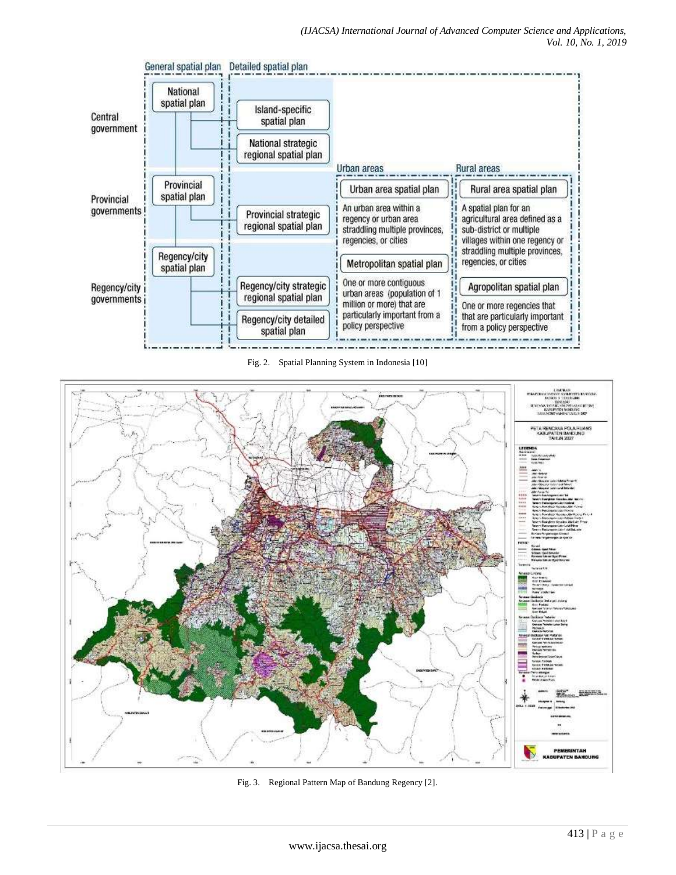

Fig. 2. Spatial Planning System in Indonesia [10]



Fig. 3. Regional Pattern Map of Bandung Regency [2].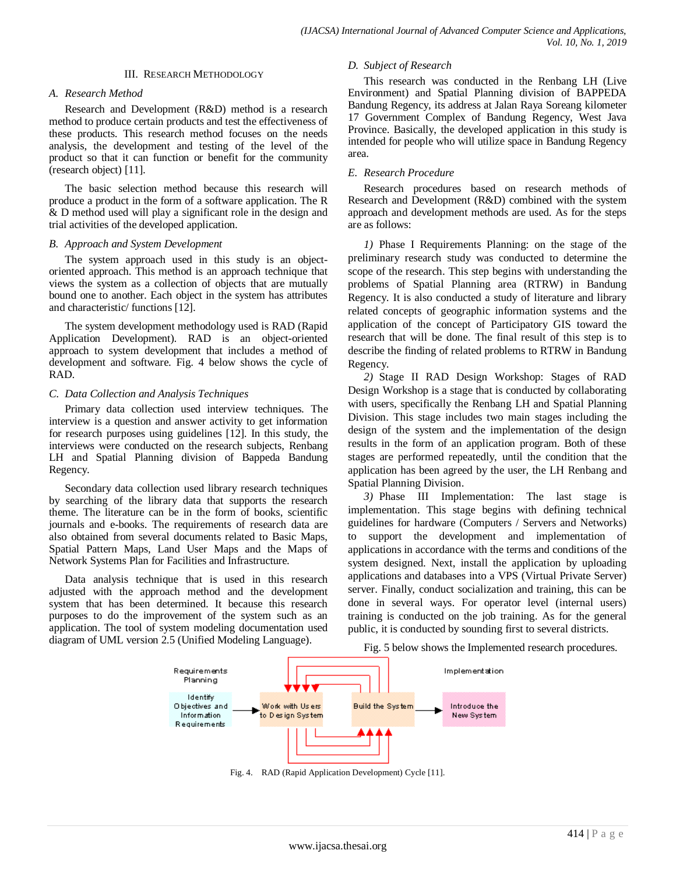#### III. RESEARCH METHODOLOGY

#### *A. Research Method*

Research and Development (R&D) method is a research method to produce certain products and test the effectiveness of these products. This research method focuses on the needs analysis, the development and testing of the level of the product so that it can function or benefit for the community (research object) [11].

The basic selection method because this research will produce a product in the form of a software application. The R & D method used will play a significant role in the design and trial activities of the developed application.

#### *B. Approach and System Development*

The system approach used in this study is an objectoriented approach. This method is an approach technique that views the system as a collection of objects that are mutually bound one to another. Each object in the system has attributes and characteristic/ functions [12].

The system development methodology used is RAD (Rapid Application Development). RAD is an object-oriented approach to system development that includes a method of development and software. Fig. 4 below shows the cycle of RAD.

#### *C. Data Collection and Analysis Techniques*

Primary data collection used interview techniques. The interview is a question and answer activity to get information for research purposes using guidelines [12]. In this study, the interviews were conducted on the research subjects, Renbang LH and Spatial Planning division of Bappeda Bandung Regency.

Secondary data collection used library research techniques by searching of the library data that supports the research theme. The literature can be in the form of books, scientific journals and e-books. The requirements of research data are also obtained from several documents related to Basic Maps, Spatial Pattern Maps, Land User Maps and the Maps of Network Systems Plan for Facilities and Infrastructure.

Data analysis technique that is used in this research adjusted with the approach method and the development system that has been determined. It because this research purposes to do the improvement of the system such as an application. The tool of system modeling documentation used diagram of UML version 2.5 (Unified Modeling Language).

#### *D. Subject of Research*

This research was conducted in the Renbang LH (Live Environment) and Spatial Planning division of BAPPEDA Bandung Regency, its address at Jalan Raya Soreang kilometer 17 Government Complex of Bandung Regency, West Java Province. Basically, the developed application in this study is intended for people who will utilize space in Bandung Regency area.

#### *E. Research Procedure*

Research procedures based on research methods of Research and Development (R&D) combined with the system approach and development methods are used. As for the steps are as follows:

*1)* Phase I Requirements Planning: on the stage of the preliminary research study was conducted to determine the scope of the research. This step begins with understanding the problems of Spatial Planning area (RTRW) in Bandung Regency. It is also conducted a study of literature and library related concepts of geographic information systems and the application of the concept of Participatory GIS toward the research that will be done. The final result of this step is to describe the finding of related problems to RTRW in Bandung Regency.

*2)* Stage II RAD Design Workshop: Stages of RAD Design Workshop is a stage that is conducted by collaborating with users, specifically the Renbang LH and Spatial Planning Division. This stage includes two main stages including the design of the system and the implementation of the design results in the form of an application program. Both of these stages are performed repeatedly, until the condition that the application has been agreed by the user, the LH Renbang and Spatial Planning Division.

*3)* Phase III Implementation: The last stage is implementation. This stage begins with defining technical guidelines for hardware (Computers / Servers and Networks) to support the development and implementation of applications in accordance with the terms and conditions of the system designed. Next, install the application by uploading applications and databases into a VPS (Virtual Private Server) server. Finally, conduct socialization and training, this can be done in several ways. For operator level (internal users) training is conducted on the job training. As for the general public, it is conducted by sounding first to several districts.

Fig. 5 below shows the Implemented research procedures.



Fig. 4. RAD (Rapid Application Development) Cycle [11].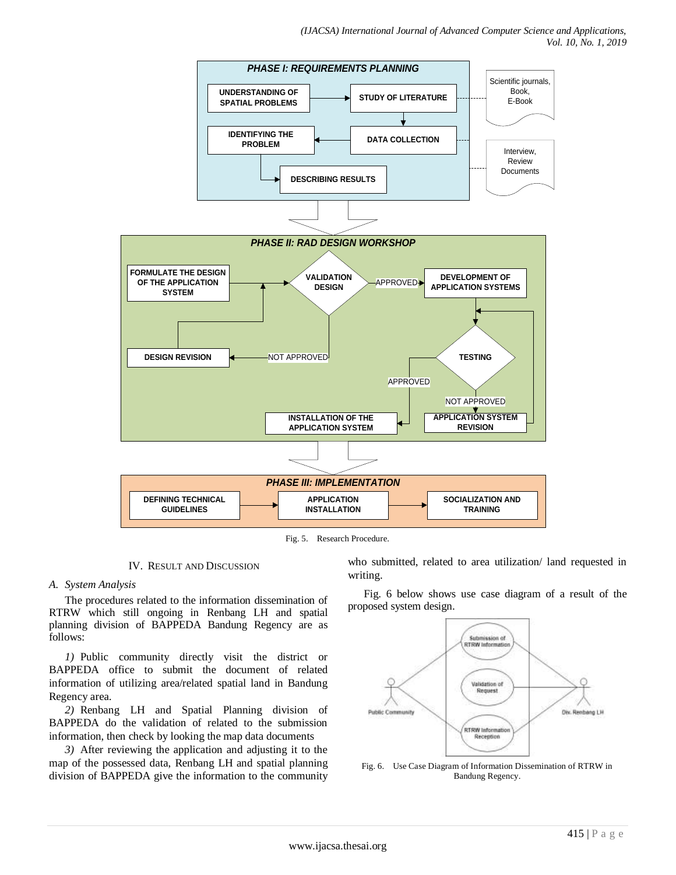

Fig. 5. Research Procedure.

### IV. RESULT AND DISCUSSION

### *A. System Analysis*

The procedures related to the information dissemination of RTRW which still ongoing in Renbang LH and spatial planning division of BAPPEDA Bandung Regency are as follows:

*1)* Public community directly visit the district or BAPPEDA office to submit the document of related information of utilizing area/related spatial land in Bandung Regency area.

*2)* Renbang LH and Spatial Planning division of BAPPEDA do the validation of related to the submission information, then check by looking the map data documents

*3)* After reviewing the application and adjusting it to the map of the possessed data, Renbang LH and spatial planning division of BAPPEDA give the information to the community who submitted, related to area utilization/ land requested in writing.

Fig. 6 below shows use case diagram of a result of the proposed system design.



Fig. 6. Use Case Diagram of Information Dissemination of RTRW in Bandung Regency.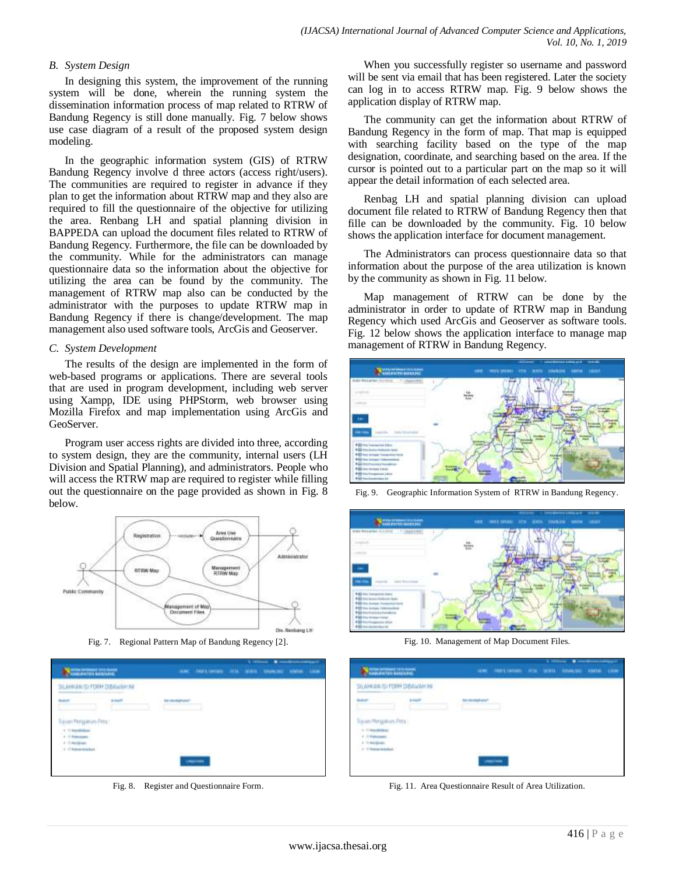### *B. System Design*

In designing this system, the improvement of the running system will be done, wherein the running system the dissemination information process of map related to RTRW of Bandung Regency is still done manually. Fig. 7 below shows use case diagram of a result of the proposed system design modeling.

In the geographic information system (GIS) of RTRW Bandung Regency involve d three actors (access right/users). The communities are required to register in advance if they plan to get the information about RTRW map and they also are required to fill the questionnaire of the objective for utilizing the area. Renbang LH and spatial planning division in BAPPEDA can upload the document files related to RTRW of Bandung Regency. Furthermore, the file can be downloaded by the community. While for the administrators can manage questionnaire data so the information about the objective for utilizing the area can be found by the community. The management of RTRW map also can be conducted by the administrator with the purposes to update RTRW map in Bandung Regency if there is change/development. The map management also used software tools, ArcGis and Geoserver.

#### *C. System Development*

The results of the design are implemented in the form of web-based programs or applications. There are several tools that are used in program development, including web server using Xampp, IDE using PHPStorm, web browser using Mozilla Firefox and map implementation using ArcGis and GeoServer.

Program user access rights are divided into three, according to system design, they are the community, internal users (LH Division and Spatial Planning), and administrators. People who will access the RTRW map are required to register while filling out the questionnaire on the page provided as shown in Fig. 8 below.



Fig. 7. Regional Pattern Map of Bandung Regency [2].

| <b>Telephone Street Services</b>       |                                               |                            | ALMC THERESALEMEN AVENUE WAREN TRANSPORT ASSAULT AND |  |  |  |
|----------------------------------------|-----------------------------------------------|----------------------------|------------------------------------------------------|--|--|--|
| MARCOSE PEDI FICIEEN CERTIONALISM      | parts the total committed about the tradit of |                            |                                                      |  |  |  |
|                                        |                                               | the committee of the local |                                                      |  |  |  |
| con Mariadoun Petal                    |                                               |                            |                                                      |  |  |  |
| The Street March 24 and<br>11 Februari |                                               |                            |                                                      |  |  |  |
| 11 Mail Street<br>4 Thompson Mark      |                                               |                            |                                                      |  |  |  |
|                                        |                                               |                            | dealer from                                          |  |  |  |

Fig. 8. Register and Questionnaire Form.

When you successfully register so username and password will be sent via email that has been registered. Later the society can log in to access RTRW map. Fig. 9 below shows the application display of RTRW map.

The community can get the information about RTRW of Bandung Regency in the form of map. That map is equipped with searching facility based on the type of the map designation, coordinate, and searching based on the area. If the cursor is pointed out to a particular part on the map so it will appear the detail information of each selected area.

Renbag LH and spatial planning division can upload document file related to RTRW of Bandung Regency then that fille can be downloaded by the community. Fig. 10 below shows the application interface for document management.

The Administrators can process questionnaire data so that information about the purpose of the area utilization is known by the community as shown in Fig. 11 below.

Map management of RTRW can be done by the administrator in order to update of RTRW map in Bandung Regency which used ArcGis and Geoserver as software tools. Fig. 12 below shows the application interface to manage map management of RTRW in Bandung Regency.



Fig. 9. Geographic Information System of RTRW in Bandung Regency.



Fig. 10. Management of Map Document Files.

| SILAHKAN ISI FORM DIBAWAH INI<br>on the transformation should be able                 |
|---------------------------------------------------------------------------------------|
|                                                                                       |
| <b><i><u>Systematics</u></i></b><br><b>Bid Hillmorth All Arms</b><br>the most wind we |

Fig. 11. Area Questionnaire Result of Area Utilization.